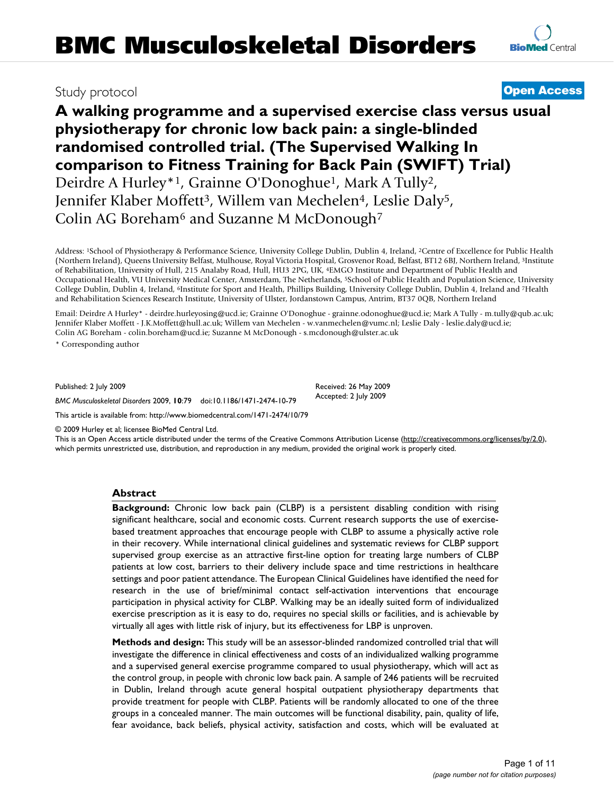# Study protocol **[Open Access](http://www.biomedcentral.com/info/about/charter/)**

**A walking programme and a supervised exercise class versus usual physiotherapy for chronic low back pain: a single-blinded randomised controlled trial. (The Supervised Walking In comparison to Fitness Training for Back Pain (SWIFT) Trial)** Deirdre A Hurley\*1, Grainne O'Donoghue1, Mark A Tully2,

Jennifer Klaber Moffett<sup>3</sup>, Willem van Mechelen<sup>4</sup>, Leslie Daly<sup>5</sup>, Colin AG Boreham<sup>6</sup> and Suzanne M McDonough<sup>7</sup>

Address: 1School of Physiotherapy & Performance Science, University College Dublin, Dublin 4, Ireland, 2Centre of Excellence for Public Health (Northern Ireland), Queens University Belfast, Mulhouse, Royal Victoria Hospital, Grosvenor Road, Belfast, BT12 6BJ, Northern Ireland, 3Institute of Rehabilitation, University of Hull, 215 Analaby Road, Hull, HU3 2PG, UK, 4EMGO Institute and Department of Public Health and Occupational Health, VU University Medical Center, Amsterdam, The Netherlands, 5School of Public Health and Population Science, University College Dublin, Dublin 4, Ireland, 6Institute for Sport and Health, Phillips Building, University College Dublin, Dublin 4, Ireland and 7Health and Rehabilitation Sciences Research Institute, University of Ulster, Jordanstown Campus, Antrim, BT37 0QB, Northern Ireland

Email: Deirdre A Hurley\* - deirdre.hurleyosing@ucd.ie; Grainne O'Donoghue - grainne.odonoghue@ucd.ie; Mark A Tully - m.tully@qub.ac.uk; Jennifer Klaber Moffett - J.K.Moffett@hull.ac.uk; Willem van Mechelen - w.vanmechelen@vumc.nl; Leslie Daly - leslie.daly@ucd.ie; Colin AG Boreham - colin.boreham@ucd.ie; Suzanne M McDonough - s.mcdonough@ulster.ac.uk

\* Corresponding author

Published: 2 July 2009

*BMC Musculoskeletal Disorders* 2009, **10**:79 doi:10.1186/1471-2474-10-79

[This article is available from: http://www.biomedcentral.com/1471-2474/10/79](http://www.biomedcentral.com/1471-2474/10/79)

© 2009 Hurley et al; licensee BioMed Central Ltd.

This is an Open Access article distributed under the terms of the Creative Commons Attribution License [\(http://creativecommons.org/licenses/by/2.0\)](http://creativecommons.org/licenses/by/2.0), which permits unrestricted use, distribution, and reproduction in any medium, provided the original work is properly cited.

#### **Abstract**

**Background:** Chronic low back pain (CLBP) is a persistent disabling condition with rising significant healthcare, social and economic costs. Current research supports the use of exercisebased treatment approaches that encourage people with CLBP to assume a physically active role in their recovery. While international clinical guidelines and systematic reviews for CLBP support supervised group exercise as an attractive first-line option for treating large numbers of CLBP patients at low cost, barriers to their delivery include space and time restrictions in healthcare settings and poor patient attendance. The European Clinical Guidelines have identified the need for research in the use of brief/minimal contact self-activation interventions that encourage participation in physical activity for CLBP. Walking may be an ideally suited form of individualized exercise prescription as it is easy to do, requires no special skills or facilities, and is achievable by virtually all ages with little risk of injury, but its effectiveness for LBP is unproven.

**Methods and design:** This study will be an assessor-blinded randomized controlled trial that will investigate the difference in clinical effectiveness and costs of an individualized walking programme and a supervised general exercise programme compared to usual physiotherapy, which will act as the control group, in people with chronic low back pain. A sample of 246 patients will be recruited in Dublin, Ireland through acute general hospital outpatient physiotherapy departments that provide treatment for people with CLBP. Patients will be randomly allocated to one of the three groups in a concealed manner. The main outcomes will be functional disability, pain, quality of life, fear avoidance, back beliefs, physical activity, satisfaction and costs, which will be evaluated at

Received: 26 May 2009 Accepted: 2 July 2009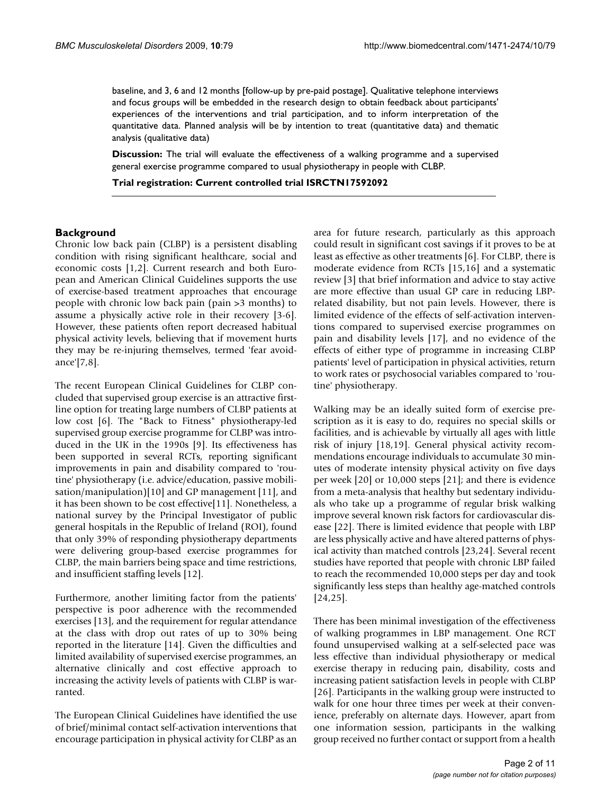baseline, and 3, 6 and 12 months [follow-up by pre-paid postage]. Qualitative telephone interviews and focus groups will be embedded in the research design to obtain feedback about participants' experiences of the interventions and trial participation, and to inform interpretation of the quantitative data. Planned analysis will be by intention to treat (quantitative data) and thematic analysis (qualitative data)

**Discussion:** The trial will evaluate the effectiveness of a walking programme and a supervised general exercise programme compared to usual physiotherapy in people with CLBP.

**Trial registration: Current controlled trial ISRCTN17592092**

#### **Background**

Chronic low back pain (CLBP) is a persistent disabling condition with rising significant healthcare, social and economic costs [1,2]. Current research and both European and American Clinical Guidelines supports the use of exercise-based treatment approaches that encourage people with chronic low back pain (pain >3 months) to assume a physically active role in their recovery [3-6]. However, these patients often report decreased habitual physical activity levels, believing that if movement hurts they may be re-injuring themselves, termed 'fear avoidance'[7,8].

The recent European Clinical Guidelines for CLBP concluded that supervised group exercise is an attractive firstline option for treating large numbers of CLBP patients at low cost [6]. The "Back to Fitness" physiotherapy-led supervised group exercise programme for CLBP was introduced in the UK in the 1990s [9]. Its effectiveness has been supported in several RCTs, reporting significant improvements in pain and disability compared to 'routine' physiotherapy (i.e. advice/education, passive mobilisation/manipulation)[10] and GP management [11], and it has been shown to be cost effective[11]. Nonetheless, a national survey by the Principal Investigator of public general hospitals in the Republic of Ireland (ROI), found that only 39% of responding physiotherapy departments were delivering group-based exercise programmes for CLBP, the main barriers being space and time restrictions, and insufficient staffing levels [12].

Furthermore, another limiting factor from the patients' perspective is poor adherence with the recommended exercises [13], and the requirement for regular attendance at the class with drop out rates of up to 30% being reported in the literature [14]. Given the difficulties and limited availability of supervised exercise programmes, an alternative clinically and cost effective approach to increasing the activity levels of patients with CLBP is warranted.

The European Clinical Guidelines have identified the use of brief/minimal contact self-activation interventions that encourage participation in physical activity for CLBP as an area for future research, particularly as this approach could result in significant cost savings if it proves to be at least as effective as other treatments [6]. For CLBP, there is moderate evidence from RCTs [15,16] and a systematic review [3] that brief information and advice to stay active are more effective than usual GP care in reducing LBPrelated disability, but not pain levels. However, there is limited evidence of the effects of self-activation interventions compared to supervised exercise programmes on pain and disability levels [17], and no evidence of the effects of either type of programme in increasing CLBP patients' level of participation in physical activities, return to work rates or psychosocial variables compared to 'routine' physiotherapy.

Walking may be an ideally suited form of exercise prescription as it is easy to do, requires no special skills or facilities, and is achievable by virtually all ages with little risk of injury [18,19]. General physical activity recommendations encourage individuals to accumulate 30 minutes of moderate intensity physical activity on five days per week [20] or 10,000 steps [21]; and there is evidence from a meta-analysis that healthy but sedentary individuals who take up a programme of regular brisk walking improve several known risk factors for cardiovascular disease [22]. There is limited evidence that people with LBP are less physically active and have altered patterns of physical activity than matched controls [23,24]. Several recent studies have reported that people with chronic LBP failed to reach the recommended 10,000 steps per day and took significantly less steps than healthy age-matched controls [24,25].

There has been minimal investigation of the effectiveness of walking programmes in LBP management. One RCT found unsupervised walking at a self-selected pace was less effective than individual physiotherapy or medical exercise therapy in reducing pain, disability, costs and increasing patient satisfaction levels in people with CLBP [26]. Participants in the walking group were instructed to walk for one hour three times per week at their convenience, preferably on alternate days. However, apart from one information session, participants in the walking group received no further contact or support from a health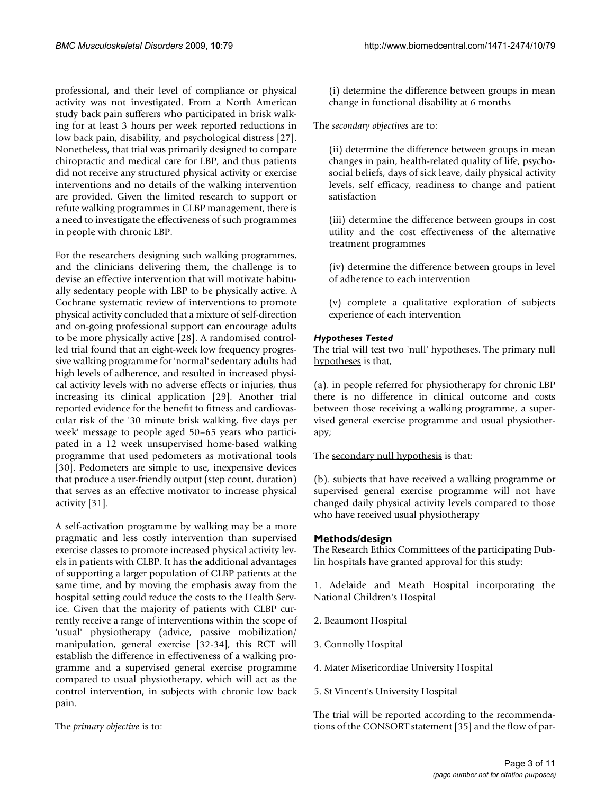professional, and their level of compliance or physical activity was not investigated. From a North American study back pain sufferers who participated in brisk walking for at least 3 hours per week reported reductions in low back pain, disability, and psychological distress [27]. Nonetheless, that trial was primarily designed to compare chiropractic and medical care for LBP, and thus patients did not receive any structured physical activity or exercise interventions and no details of the walking intervention are provided. Given the limited research to support or refute walking programmes in CLBP management, there is a need to investigate the effectiveness of such programmes in people with chronic LBP.

For the researchers designing such walking programmes, and the clinicians delivering them, the challenge is to devise an effective intervention that will motivate habitually sedentary people with LBP to be physically active. A Cochrane systematic review of interventions to promote physical activity concluded that a mixture of self-direction and on-going professional support can encourage adults to be more physically active [28]. A randomised controlled trial found that an eight-week low frequency progressive walking programme for 'normal' sedentary adults had high levels of adherence, and resulted in increased physical activity levels with no adverse effects or injuries, thus increasing its clinical application [29]. Another trial reported evidence for the benefit to fitness and cardiovascular risk of the '30 minute brisk walking, five days per week' message to people aged 50–65 years who participated in a 12 week unsupervised home-based walking programme that used pedometers as motivational tools [30]. Pedometers are simple to use, inexpensive devices that produce a user-friendly output (step count, duration) that serves as an effective motivator to increase physical activity [31].

A self-activation programme by walking may be a more pragmatic and less costly intervention than supervised exercise classes to promote increased physical activity levels in patients with CLBP. It has the additional advantages of supporting a larger population of CLBP patients at the same time, and by moving the emphasis away from the hospital setting could reduce the costs to the Health Service. Given that the majority of patients with CLBP currently receive a range of interventions within the scope of 'usual' physiotherapy (advice, passive mobilization/ manipulation, general exercise [32-34], this RCT will establish the difference in effectiveness of a walking programme and a supervised general exercise programme compared to usual physiotherapy, which will act as the control intervention, in subjects with chronic low back pain.

The *primary objective* is to:

(i) determine the difference between groups in mean change in functional disability at 6 months

The *secondary objectives* are to:

(ii) determine the difference between groups in mean changes in pain, health-related quality of life, psychosocial beliefs, days of sick leave, daily physical activity levels, self efficacy, readiness to change and patient satisfaction

(iii) determine the difference between groups in cost utility and the cost effectiveness of the alternative treatment programmes

(iv) determine the difference between groups in level of adherence to each intervention

(v) complete a qualitative exploration of subjects experience of each intervention

# *Hypotheses Tested*

The trial will test two 'null' hypotheses. The primary null hypotheses is that,

(a). in people referred for physiotherapy for chronic LBP there is no difference in clinical outcome and costs between those receiving a walking programme, a supervised general exercise programme and usual physiotherapy;

The secondary null hypothesis is that:

(b). subjects that have received a walking programme or supervised general exercise programme will not have changed daily physical activity levels compared to those who have received usual physiotherapy

# **Methods/design**

The Research Ethics Committees of the participating Dublin hospitals have granted approval for this study:

1. Adelaide and Meath Hospital incorporating the National Children's Hospital

- 2. Beaumont Hospital
- 3. Connolly Hospital
- 4. Mater Misericordiae University Hospital
- 5. St Vincent's University Hospital

The trial will be reported according to the recommendations of the CONSORT statement [35] and the flow of par-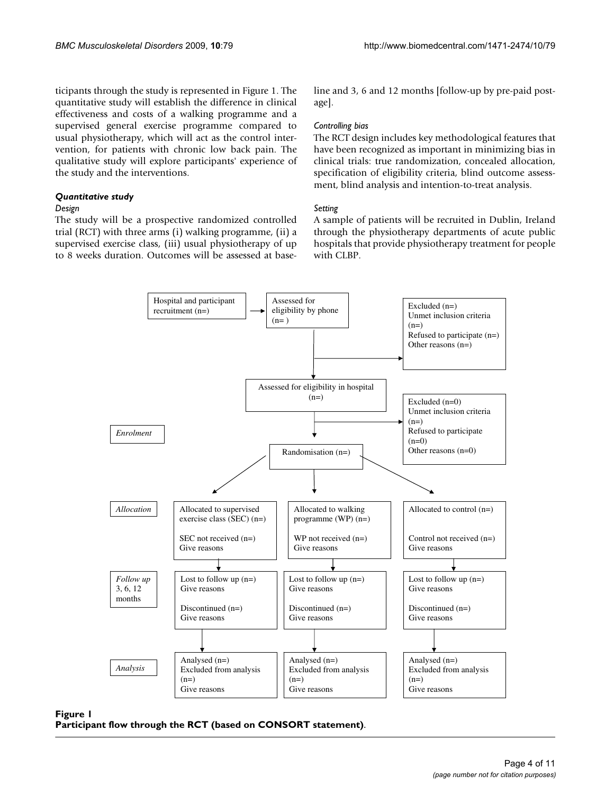ticipants through the study is represented in Figure 1. The quantitative study will establish the difference in clinical effectiveness and costs of a walking programme and a supervised general exercise programme compared to usual physiotherapy, which will act as the control intervention, for patients with chronic low back pain. The qualitative study will explore participants' experience of the study and the interventions.

# *Quantitative study*

#### *Design*

The study will be a prospective randomized controlled trial (RCT) with three arms (i) walking programme, (ii) a supervised exercise class, (iii) usual physiotherapy of up to 8 weeks duration. Outcomes will be assessed at baseline and 3, 6 and 12 months [follow-up by pre-paid postage].

# *Controlling bias*

The RCT design includes key methodological features that have been recognized as important in minimizing bias in clinical trials: true randomization, concealed allocation, specification of eligibility criteria, blind outcome assessment, blind analysis and intention-to-treat analysis.

# *Setting*

A sample of patients will be recruited in Dublin, Ireland through the physiotherapy departments of acute public hospitals that provide physiotherapy treatment for people with CLBP.



#### **Figure 1 Participant flow through the RCT (based on CONSORT statement)**.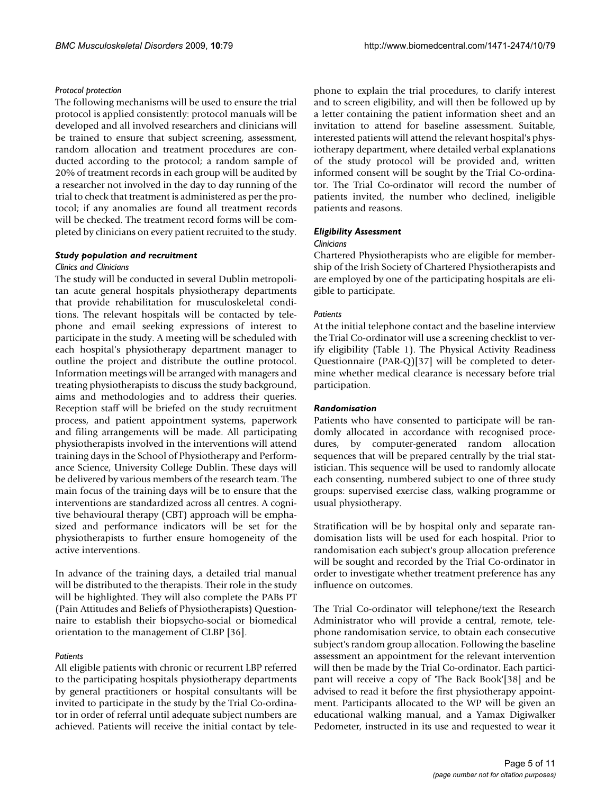# *Protocol protection*

The following mechanisms will be used to ensure the trial protocol is applied consistently: protocol manuals will be developed and all involved researchers and clinicians will be trained to ensure that subject screening, assessment, random allocation and treatment procedures are conducted according to the protocol; a random sample of 20% of treatment records in each group will be audited by a researcher not involved in the day to day running of the trial to check that treatment is administered as per the protocol; if any anomalies are found all treatment records will be checked. The treatment record forms will be completed by clinicians on every patient recruited to the study.

#### *Study population and recruitment*

# *Clinics and Clinicians*

The study will be conducted in several Dublin metropolitan acute general hospitals physiotherapy departments that provide rehabilitation for musculoskeletal conditions. The relevant hospitals will be contacted by telephone and email seeking expressions of interest to participate in the study. A meeting will be scheduled with each hospital's physiotherapy department manager to outline the project and distribute the outline protocol. Information meetings will be arranged with managers and treating physiotherapists to discuss the study background, aims and methodologies and to address their queries. Reception staff will be briefed on the study recruitment process, and patient appointment systems, paperwork and filing arrangements will be made. All participating physiotherapists involved in the interventions will attend training days in the School of Physiotherapy and Performance Science, University College Dublin. These days will be delivered by various members of the research team. The main focus of the training days will be to ensure that the interventions are standardized across all centres. A cognitive behavioural therapy (CBT) approach will be emphasized and performance indicators will be set for the physiotherapists to further ensure homogeneity of the active interventions.

In advance of the training days, a detailed trial manual will be distributed to the therapists. Their role in the study will be highlighted. They will also complete the PABs PT (Pain Attitudes and Beliefs of Physiotherapists) Questionnaire to establish their biopsycho-social or biomedical orientation to the management of CLBP [36].

# *Patients*

All eligible patients with chronic or recurrent LBP referred to the participating hospitals physiotherapy departments by general practitioners or hospital consultants will be invited to participate in the study by the Trial Co-ordinator in order of referral until adequate subject numbers are achieved. Patients will receive the initial contact by telephone to explain the trial procedures, to clarify interest and to screen eligibility, and will then be followed up by a letter containing the patient information sheet and an invitation to attend for baseline assessment. Suitable, interested patients will attend the relevant hospital's physiotherapy department, where detailed verbal explanations of the study protocol will be provided and, written informed consent will be sought by the Trial Co-ordinator. The Trial Co-ordinator will record the number of patients invited, the number who declined, ineligible patients and reasons.

# *Eligibility Assessment*

#### *Clinicians*

Chartered Physiotherapists who are eligible for membership of the Irish Society of Chartered Physiotherapists and are employed by one of the participating hospitals are eligible to participate.

# *Patients*

At the initial telephone contact and the baseline interview the Trial Co-ordinator will use a screening checklist to verify eligibility (Table 1). The Physical Activity Readiness Questionnaire (PAR-Q)[37] will be completed to determine whether medical clearance is necessary before trial participation.

#### *Randomisation*

Patients who have consented to participate will be randomly allocated in accordance with recognised procedures, by computer-generated random allocation sequences that will be prepared centrally by the trial statistician. This sequence will be used to randomly allocate each consenting, numbered subject to one of three study groups: supervised exercise class, walking programme or usual physiotherapy.

Stratification will be by hospital only and separate randomisation lists will be used for each hospital. Prior to randomisation each subject's group allocation preference will be sought and recorded by the Trial Co-ordinator in order to investigate whether treatment preference has any influence on outcomes.

The Trial Co-ordinator will telephone/text the Research Administrator who will provide a central, remote, telephone randomisation service, to obtain each consecutive subject's random group allocation. Following the baseline assessment an appointment for the relevant intervention will then be made by the Trial Co-ordinator. Each participant will receive a copy of 'The Back Book'[38] and be advised to read it before the first physiotherapy appointment. Participants allocated to the WP will be given an educational walking manual, and a Yamax Digiwalker Pedometer, instructed in its use and requested to wear it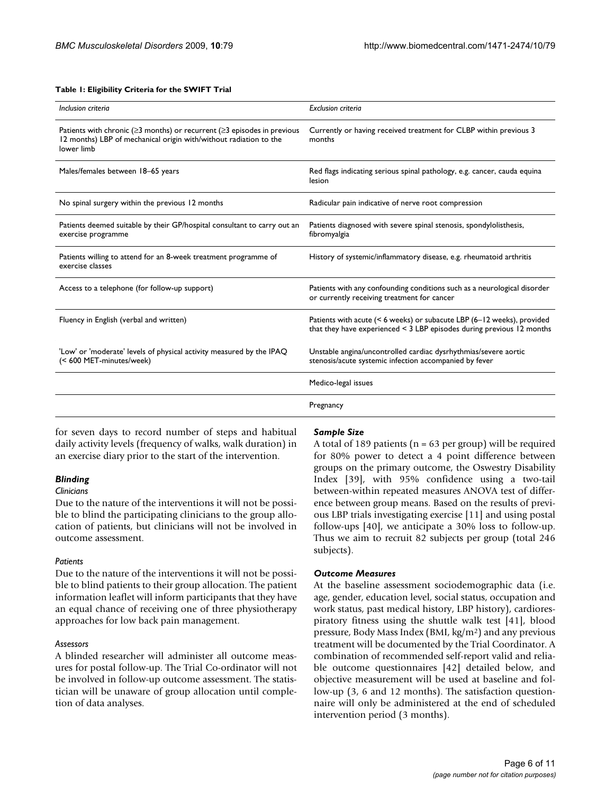#### **Table 1: Eligibility Criteria for the SWIFT Trial**

| Inclusion criteria                                                                                                                                                       | <b>Exclusion criteria</b>                                                                                                                            |
|--------------------------------------------------------------------------------------------------------------------------------------------------------------------------|------------------------------------------------------------------------------------------------------------------------------------------------------|
| Patients with chronic ( $\geq$ 3 months) or recurrent ( $\geq$ 3 episodes in previous<br>12 months) LBP of mechanical origin with/without radiation to the<br>lower limb | Currently or having received treatment for CLBP within previous 3<br>months                                                                          |
| Males/females between 18-65 years                                                                                                                                        | Red flags indicating serious spinal pathology, e.g. cancer, cauda equina<br>lesion                                                                   |
| No spinal surgery within the previous 12 months                                                                                                                          | Radicular pain indicative of nerve root compression                                                                                                  |
| Patients deemed suitable by their GP/hospital consultant to carry out an<br>exercise programme                                                                           | Patients diagnosed with severe spinal stenosis, spondylolisthesis,<br>fibromyalgia                                                                   |
| Patients willing to attend for an 8-week treatment programme of<br>exercise classes                                                                                      | History of systemic/inflammatory disease, e.g. rheumatoid arthritis                                                                                  |
| Access to a telephone (for follow-up support)                                                                                                                            | Patients with any confounding conditions such as a neurological disorder<br>or currently receiving treatment for cancer                              |
| Fluency in English (verbal and written)                                                                                                                                  | Patients with acute (< 6 weeks) or subacute LBP (6-12 weeks), provided<br>that they have experienced $\leq$ 3 LBP episodes during previous 12 months |
| 'Low' or 'moderate' levels of physical activity measured by the IPAQ<br>(< 600 MET-minutes/week)                                                                         | Unstable angina/uncontrolled cardiac dysrhythmias/severe aortic<br>stenosis/acute systemic infection accompanied by fever                            |
|                                                                                                                                                                          | Medico-legal issues                                                                                                                                  |
|                                                                                                                                                                          | Pregnancy                                                                                                                                            |

for seven days to record number of steps and habitual daily activity levels (frequency of walks, walk duration) in an exercise diary prior to the start of the intervention.

# *Blinding*

#### *Clinicians*

Due to the nature of the interventions it will not be possible to blind the participating clinicians to the group allocation of patients, but clinicians will not be involved in outcome assessment.

#### *Patients*

Due to the nature of the interventions it will not be possible to blind patients to their group allocation. The patient information leaflet will inform participants that they have an equal chance of receiving one of three physiotherapy approaches for low back pain management.

# *Assessors*

A blinded researcher will administer all outcome measures for postal follow-up. The Trial Co-ordinator will not be involved in follow-up outcome assessment. The statistician will be unaware of group allocation until completion of data analyses.

#### *Sample Size*

A total of 189 patients ( $n = 63$  per group) will be required for 80% power to detect a 4 point difference between groups on the primary outcome, the Oswestry Disability Index [39], with 95% confidence using a two-tail between-within repeated measures ANOVA test of difference between group means. Based on the results of previous LBP trials investigating exercise [11] and using postal follow-ups [40], we anticipate a 30% loss to follow-up. Thus we aim to recruit 82 subjects per group (total 246 subjects).

#### *Outcome Measures*

At the baseline assessment sociodemographic data (i.e. age, gender, education level, social status, occupation and work status, past medical history, LBP history), cardiorespiratory fitness using the shuttle walk test [41], blood pressure, Body Mass Index (BMI, kg/m2) and any previous treatment will be documented by the Trial Coordinator. A combination of recommended self-report valid and reliable outcome questionnaires [42] detailed below, and objective measurement will be used at baseline and follow-up (3, 6 and 12 months). The satisfaction questionnaire will only be administered at the end of scheduled intervention period (3 months).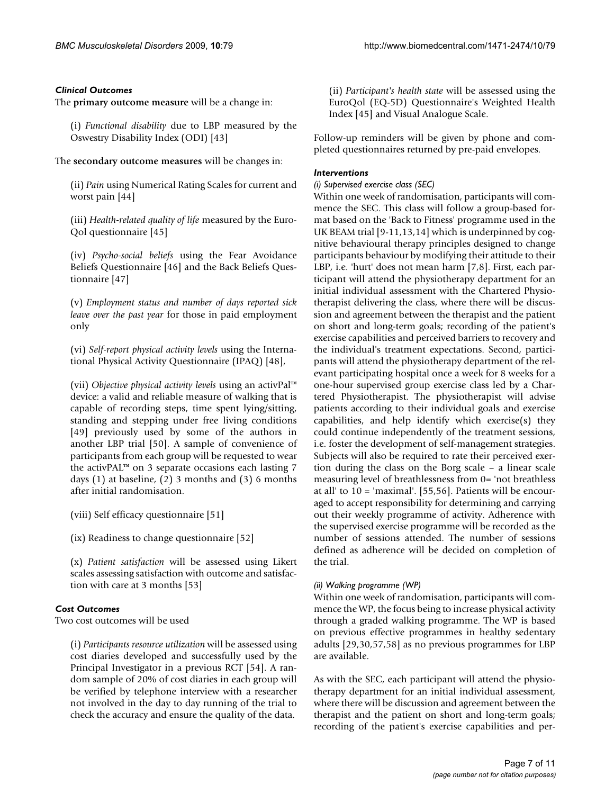## *Clinical Outcomes*

The **primary outcome measure** will be a change in:

(i) *Functional disability* due to LBP measured by the Oswestry Disability Index (ODI) [43]

The **secondary outcome measures** will be changes in:

(ii) *Pain* using Numerical Rating Scales for current and worst pain [44]

(iii) *Health-related quality of life* measured by the Euro-Qol questionnaire [45]

(iv) *Psycho-social beliefs* using the Fear Avoidance Beliefs Questionnaire [46] and the Back Beliefs Questionnaire [47]

(v) *Employment status and number of days reported sick leave over the past year* for those in paid employment only

(vi) *Self-report physical activity levels* using the International Physical Activity Questionnaire (IPAQ) [48],

(vii) *Objective physical activity levels* using an activPal™ device: a valid and reliable measure of walking that is capable of recording steps, time spent lying/sitting, standing and stepping under free living conditions [49] previously used by some of the authors in another LBP trial [50]. A sample of convenience of participants from each group will be requested to wear the activPAL™ on 3 separate occasions each lasting 7 days (1) at baseline, (2) 3 months and (3) 6 months after initial randomisation.

- (viii) Self efficacy questionnaire [51]
- (ix) Readiness to change questionnaire [52]

(x) *Patient satisfaction* will be assessed using Likert scales assessing satisfaction with outcome and satisfaction with care at 3 months [53]

# *Cost Outcomes*

Two cost outcomes will be used

(i) *Participants resource utilization* will be assessed using cost diaries developed and successfully used by the Principal Investigator in a previous RCT [54]. A random sample of 20% of cost diaries in each group will be verified by telephone interview with a researcher not involved in the day to day running of the trial to check the accuracy and ensure the quality of the data.

(ii) *Participant's health state* will be assessed using the EuroQol (EQ-5D) Questionnaire's Weighted Health Index [45] and Visual Analogue Scale.

Follow-up reminders will be given by phone and completed questionnaires returned by pre-paid envelopes.

## *Interventions*

#### *(i) Supervised exercise class (SEC)*

Within one week of randomisation, participants will commence the SEC. This class will follow a group-based format based on the 'Back to Fitness' programme used in the UK BEAM trial [9-11,13,14] which is underpinned by cognitive behavioural therapy principles designed to change participants behaviour by modifying their attitude to their LBP, i.e. 'hurt' does not mean harm [7,8]. First, each participant will attend the physiotherapy department for an initial individual assessment with the Chartered Physiotherapist delivering the class, where there will be discussion and agreement between the therapist and the patient on short and long-term goals; recording of the patient's exercise capabilities and perceived barriers to recovery and the individual's treatment expectations. Second, participants will attend the physiotherapy department of the relevant participating hospital once a week for 8 weeks for a one-hour supervised group exercise class led by a Chartered Physiotherapist. The physiotherapist will advise patients according to their individual goals and exercise capabilities, and help identify which exercise(s) they could continue independently of the treatment sessions, i.e. foster the development of self-management strategies. Subjects will also be required to rate their perceived exertion during the class on the Borg scale – a linear scale measuring level of breathlessness from 0= 'not breathless at all' to 10 = 'maximal'. [55,56]. Patients will be encouraged to accept responsibility for determining and carrying out their weekly programme of activity. Adherence with the supervised exercise programme will be recorded as the number of sessions attended. The number of sessions defined as adherence will be decided on completion of the trial.

#### *(ii) Walking programme (WP)*

Within one week of randomisation, participants will commence the WP, the focus being to increase physical activity through a graded walking programme. The WP is based on previous effective programmes in healthy sedentary adults [29,30,57,58] as no previous programmes for LBP are available.

As with the SEC, each participant will attend the physiotherapy department for an initial individual assessment, where there will be discussion and agreement between the therapist and the patient on short and long-term goals; recording of the patient's exercise capabilities and per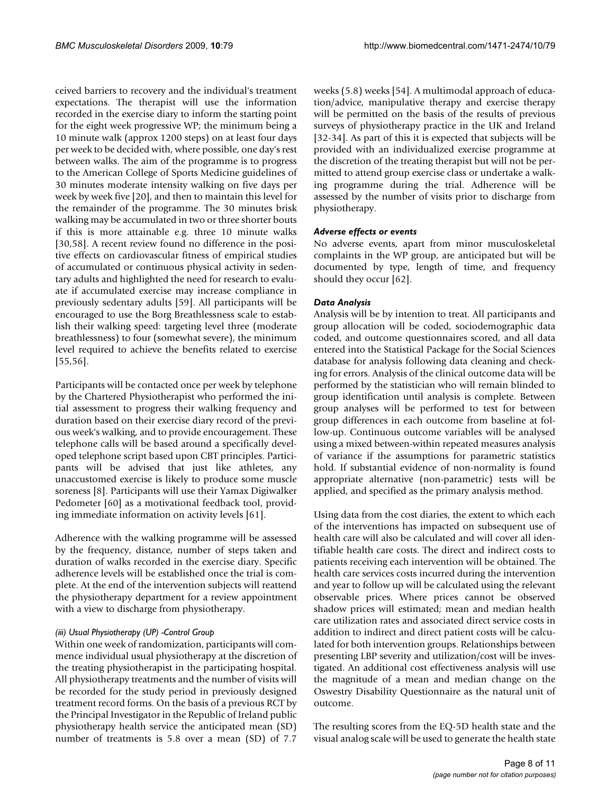ceived barriers to recovery and the individual's treatment expectations. The therapist will use the information recorded in the exercise diary to inform the starting point for the eight week progressive WP; the minimum being a 10 minute walk (approx 1200 steps) on at least four days per week to be decided with, where possible, one day's rest between walks. The aim of the programme is to progress to the American College of Sports Medicine guidelines of 30 minutes moderate intensity walking on five days per week by week five [20], and then to maintain this level for the remainder of the programme. The 30 minutes brisk walking may be accumulated in two or three shorter bouts if this is more attainable e.g. three 10 minute walks [30,58]. A recent review found no difference in the positive effects on cardiovascular fitness of empirical studies of accumulated or continuous physical activity in sedentary adults and highlighted the need for research to evaluate if accumulated exercise may increase compliance in previously sedentary adults [59]. All participants will be encouraged to use the Borg Breathlessness scale to establish their walking speed: targeting level three (moderate breathlessness) to four (somewhat severe), the minimum level required to achieve the benefits related to exercise [55,56].

Participants will be contacted once per week by telephone by the Chartered Physiotherapist who performed the initial assessment to progress their walking frequency and duration based on their exercise diary record of the previous week's walking, and to provide encouragement. These telephone calls will be based around a specifically developed telephone script based upon CBT principles. Participants will be advised that just like athletes, any unaccustomed exercise is likely to produce some muscle soreness [8]. Participants will use their Yamax Digiwalker Pedometer [60] as a motivational feedback tool, providing immediate information on activity levels [61].

Adherence with the walking programme will be assessed by the frequency, distance, number of steps taken and duration of walks recorded in the exercise diary. Specific adherence levels will be established once the trial is complete. At the end of the intervention subjects will reattend the physiotherapy department for a review appointment with a view to discharge from physiotherapy.

# *(iii) Usual Physiotherapy (UP) -Control Group*

Within one week of randomization, participants will commence individual usual physiotherapy at the discretion of the treating physiotherapist in the participating hospital. All physiotherapy treatments and the number of visits will be recorded for the study period in previously designed treatment record forms. On the basis of a previous RCT by the Principal Investigator in the Republic of Ireland public physiotherapy health service the anticipated mean (SD) number of treatments is 5.8 over a mean (SD) of 7.7

weeks (5.8) weeks [54]. A multimodal approach of education/advice, manipulative therapy and exercise therapy will be permitted on the basis of the results of previous surveys of physiotherapy practice in the UK and Ireland [32-34]. As part of this it is expected that subjects will be provided with an individualized exercise programme at the discretion of the treating therapist but will not be permitted to attend group exercise class or undertake a walking programme during the trial. Adherence will be assessed by the number of visits prior to discharge from physiotherapy.

# *Adverse effects or events*

No adverse events, apart from minor musculoskeletal complaints in the WP group, are anticipated but will be documented by type, length of time, and frequency should they occur [62].

# *Data Analysis*

Analysis will be by intention to treat. All participants and group allocation will be coded, sociodemographic data coded, and outcome questionnaires scored, and all data entered into the Statistical Package for the Social Sciences database for analysis following data cleaning and checking for errors. Analysis of the clinical outcome data will be performed by the statistician who will remain blinded to group identification until analysis is complete. Between group analyses will be performed to test for between group differences in each outcome from baseline at follow-up. Continuous outcome variables will be analysed using a mixed between-within repeated measures analysis of variance if the assumptions for parametric statistics hold. If substantial evidence of non-normality is found appropriate alternative (non-parametric) tests will be applied, and specified as the primary analysis method.

Using data from the cost diaries, the extent to which each of the interventions has impacted on subsequent use of health care will also be calculated and will cover all identifiable health care costs. The direct and indirect costs to patients receiving each intervention will be obtained. The health care services costs incurred during the intervention and year to follow up will be calculated using the relevant observable prices. Where prices cannot be observed shadow prices will estimated; mean and median health care utilization rates and associated direct service costs in addition to indirect and direct patient costs will be calculated for both intervention groups. Relationships between presenting LBP severity and utilization/cost will be investigated. An additional cost effectiveness analysis will use the magnitude of a mean and median change on the Oswestry Disability Questionnaire as the natural unit of outcome.

The resulting scores from the EQ-5D health state and the visual analog scale will be used to generate the health state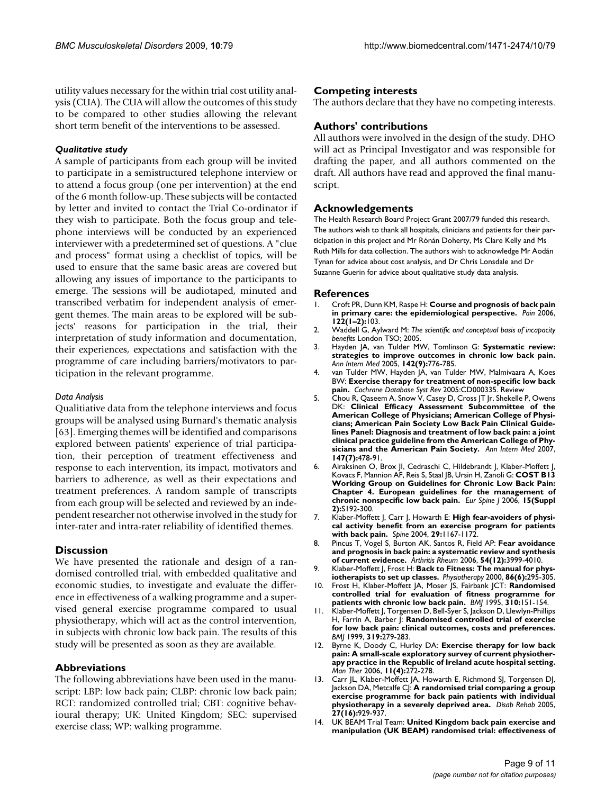utility values necessary for the within trial cost utility analysis (CUA). The CUA will allow the outcomes of this study to be compared to other studies allowing the relevant short term benefit of the interventions to be assessed.

# *Qualitative study*

A sample of participants from each group will be invited to participate in a semistructured telephone interview or to attend a focus group (one per intervention) at the end of the 6 month follow-up. These subjects will be contacted by letter and invited to contact the Trial Co-ordinator if they wish to participate. Both the focus group and telephone interviews will be conducted by an experienced interviewer with a predetermined set of questions. A "clue and process" format using a checklist of topics, will be used to ensure that the same basic areas are covered but allowing any issues of importance to the participants to emerge. The sessions will be audiotaped, minuted and transcribed verbatim for independent analysis of emergent themes. The main areas to be explored will be subjects' reasons for participation in the trial, their interpretation of study information and documentation, their experiences, expectations and satisfaction with the programme of care including barriers/motivators to participation in the relevant programme.

## *Data Analysis*

Qualitiative data from the telephone interviews and focus groups will be analysed using Burnard's thematic analysis [63]. Emerging themes will be identified and comparisons explored between patients' experience of trial participation, their perception of treatment effectiveness and response to each intervention, its impact, motivators and barriers to adherence, as well as their expectations and treatment preferences. A random sample of transcripts from each group will be selected and reviewed by an independent researcher not otherwise involved in the study for inter-rater and intra-rater reliability of identified themes.

#### **Discussion**

We have presented the rationale and design of a randomised controlled trial, with embedded qualitative and economic studies, to investigate and evaluate the difference in effectiveness of a walking programme and a supervised general exercise programme compared to usual physiotherapy, which will act as the control intervention, in subjects with chronic low back pain. The results of this study will be presented as soon as they are available.

# **Abbreviations**

The following abbreviations have been used in the manuscript: LBP: low back pain; CLBP: chronic low back pain; RCT: randomized controlled trial; CBT: cognitive behavioural therapy; UK: United Kingdom; SEC: supervised exercise class; WP: walking programme.

# **Competing interests**

The authors declare that they have no competing interests.

# **Authors' contributions**

All authors were involved in the design of the study. DHO will act as Principal Investigator and was responsible for drafting the paper, and all authors commented on the draft. All authors have read and approved the final manuscript.

#### **Acknowledgements**

The Health Research Board Project Grant 2007/79 funded this research. The authors wish to thank all hospitals, clinicians and patients for their participation in this project and Mr Rónán Doherty, Ms Clare Kelly and Ms Ruth Mills for data collection. The authors wish to acknowledge Mr Aodán Tynan for advice about cost analysis, and Dr Chris Lonsdale and Dr Suzanne Guerin for advice about qualitative study data analysis.

#### **References**

- 1. Croft PR, Dunn KM, Raspe H: **Course and prognosis of back pain in primary care: the epidemiological perspective.** *Pain* 2006, **122(1–2):**103.
- 2. Waddell G, Aylward M: *The scientific and conceptual basis of incapacity benefits* London TSO; 2005.
- 3. Hayden JA, van Tulder MW, Tomlinson G: **[Systematic review:](http://www.ncbi.nlm.nih.gov/entrez/query.fcgi?cmd=Retrieve&db=PubMed&dopt=Abstract&list_uids=15867410) [strategies to improve outcomes in chronic low back pain.](http://www.ncbi.nlm.nih.gov/entrez/query.fcgi?cmd=Retrieve&db=PubMed&dopt=Abstract&list_uids=15867410)** *Ann Intern Med* 2005, **142(9):**776-785.
- 4. van Tulder MW, Hayden JA, van Tulder MW, Malmivaara A, Koes BW: **[Exercise therapy for treatment of non-specific low back](http://www.ncbi.nlm.nih.gov/entrez/query.fcgi?cmd=Retrieve&db=PubMed&dopt=Abstract&list_uids=16034851) [pain.](http://www.ncbi.nlm.nih.gov/entrez/query.fcgi?cmd=Retrieve&db=PubMed&dopt=Abstract&list_uids=16034851)** *Cochrane Database Syst Rev* 2005:CD000335. Review
- 5. Chou R, Qaseem A, Snow V, Casey D, Cross JT Jr, Shekelle P, Owens DK: **[Clinical Efficacy Assessment Subcommittee of the](http://www.ncbi.nlm.nih.gov/entrez/query.fcgi?cmd=Retrieve&db=PubMed&dopt=Abstract&list_uids=17909209) American College of Physicians; American College of Physicians; American Pain Society Low Back Pain Clinical Guide[lines Panel: Diagnosis and treatment of low back pain: a joint](http://www.ncbi.nlm.nih.gov/entrez/query.fcgi?cmd=Retrieve&db=PubMed&dopt=Abstract&list_uids=17909209) clinical practice guideline from the American College of Phy[sicians and the American Pain Society.](http://www.ncbi.nlm.nih.gov/entrez/query.fcgi?cmd=Retrieve&db=PubMed&dopt=Abstract&list_uids=17909209)** *Ann Intern Med* 2007, **147(7):**478-91.
- 6. Airaksinen O, Brox JI, Cedraschi C, Hildebrandt J, Klaber-Moffett J, Kovacs F, Mannion AF, Reis S, Staal JB, Ursin H, Zanoli G: **[COST B13](http://www.ncbi.nlm.nih.gov/entrez/query.fcgi?cmd=Retrieve&db=PubMed&dopt=Abstract&list_uids=16550448) [Working Group on Guidelines for Chronic Low Back Pain:](http://www.ncbi.nlm.nih.gov/entrez/query.fcgi?cmd=Retrieve&db=PubMed&dopt=Abstract&list_uids=16550448) Chapter 4. European guidelines for the management of [chronic nonspecific low back pain.](http://www.ncbi.nlm.nih.gov/entrez/query.fcgi?cmd=Retrieve&db=PubMed&dopt=Abstract&list_uids=16550448)** *Eur Spine J* 2006, **15(Suppl 2):**S192-300.
- 7. Klaber-Moffett J, Carr J, Howarth E: **[High fear-avoiders of physi](http://www.ncbi.nlm.nih.gov/entrez/query.fcgi?cmd=Retrieve&db=PubMed&dopt=Abstract&list_uids=15167652)[cal activity benefit from an exercise program for patients](http://www.ncbi.nlm.nih.gov/entrez/query.fcgi?cmd=Retrieve&db=PubMed&dopt=Abstract&list_uids=15167652) [with back pain.](http://www.ncbi.nlm.nih.gov/entrez/query.fcgi?cmd=Retrieve&db=PubMed&dopt=Abstract&list_uids=15167652)** *Spine* 2004, **29:**1167-1172.
- 8. Pincus T, Vogel S, Burton AK, Santos R, Field AP: **[Fear avoidance](http://www.ncbi.nlm.nih.gov/entrez/query.fcgi?cmd=Retrieve&db=PubMed&dopt=Abstract&list_uids=17133530) [and prognosis in back pain: a systematic review and synthesis](http://www.ncbi.nlm.nih.gov/entrez/query.fcgi?cmd=Retrieve&db=PubMed&dopt=Abstract&list_uids=17133530) [of current evidence.](http://www.ncbi.nlm.nih.gov/entrez/query.fcgi?cmd=Retrieve&db=PubMed&dopt=Abstract&list_uids=17133530)** *Arthritis Rheum* 2006, **54(12):**3999-4010.
- 9. Klaber-Moffett J, Frost H: **Back to Fitness: The manual for physiotherapists to set up classes.** *Physiotherapy* 2000, **86(6):**295-305.
- 10. Frost H, Klaber-Moffett JA, Moser JS, Fairbank JCT: **[Randomised](http://www.ncbi.nlm.nih.gov/entrez/query.fcgi?cmd=Retrieve&db=PubMed&dopt=Abstract&list_uids=7833752) [controlled trial for evaluation of fitness programme for](http://www.ncbi.nlm.nih.gov/entrez/query.fcgi?cmd=Retrieve&db=PubMed&dopt=Abstract&list_uids=7833752) [patients with chronic low back pain.](http://www.ncbi.nlm.nih.gov/entrez/query.fcgi?cmd=Retrieve&db=PubMed&dopt=Abstract&list_uids=7833752)** *BMJ* 1995, **310:**151-154.
- 11. Klaber-Moffett J, Torgensen D, Bell-Syer S, Jackson D, Llewlyn-Phillips H, Farrin A, Barber J: **[Randomised controlled trial of exercise](http://www.ncbi.nlm.nih.gov/entrez/query.fcgi?cmd=Retrieve&db=PubMed&dopt=Abstract&list_uids=10426734) [for low back pain: clinical outcomes, costs and preferences.](http://www.ncbi.nlm.nih.gov/entrez/query.fcgi?cmd=Retrieve&db=PubMed&dopt=Abstract&list_uids=10426734)** *BMJ* 1999, **319:**279-283.
- 12. Byrne K, Doody C, Hurley DA: **[Exercise therapy for low back](http://www.ncbi.nlm.nih.gov/entrez/query.fcgi?cmd=Retrieve&db=PubMed&dopt=Abstract&list_uids=16084749) [pain: A small-scale exploratory survey of current physiother](http://www.ncbi.nlm.nih.gov/entrez/query.fcgi?cmd=Retrieve&db=PubMed&dopt=Abstract&list_uids=16084749)apy practice in the Republic of Ireland acute hospital setting.** *Man Ther* 2006, **11(4):**272-278.
- 13. Carr JL, Klaber-Moffett JA, Howarth E, Richmond SJ, Torgensen DJ, Jackson DA, Metcalfe CJ: **A randomised trial comparing a group exercise programme for back pain patients with individual physiotherapy in a severely deprived area.** *Disab Rehab* 2005, **27(16):**929-937.
- 14. UK BEAM Trial Team: **United Kingdom back pain exercise and manipulation (UK BEAM) randomised trial: effectiveness of**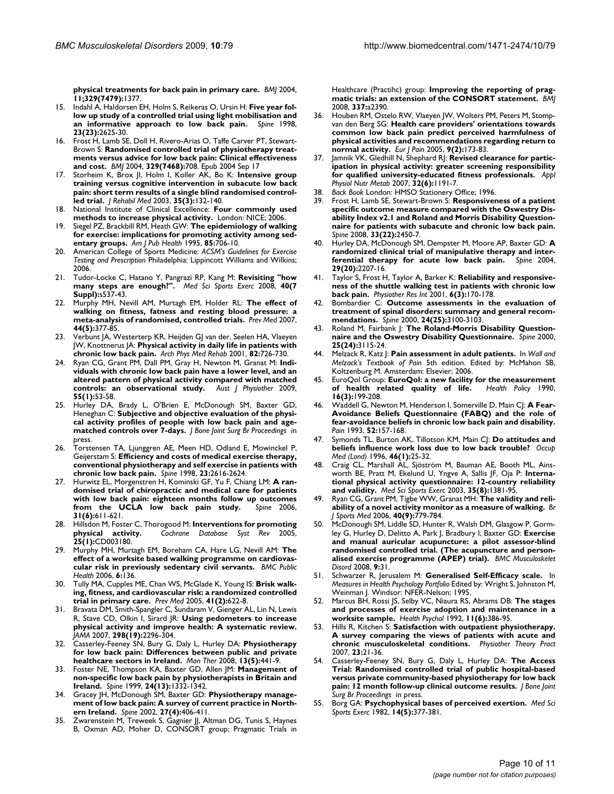**physical treatments for back pain in primary care.** *BMJ* 2004, **11;329(7479):**1377.

- 15. Indahl A, Haldorsen EH, Holm S, Reikeras O, Ursin H: **[Five year fol](http://www.ncbi.nlm.nih.gov/entrez/query.fcgi?cmd=Retrieve&db=PubMed&dopt=Abstract&list_uids=9854762)[low up study of a controlled trial using light mobilisation and](http://www.ncbi.nlm.nih.gov/entrez/query.fcgi?cmd=Retrieve&db=PubMed&dopt=Abstract&list_uids=9854762) [an informative approach to low back pain.](http://www.ncbi.nlm.nih.gov/entrez/query.fcgi?cmd=Retrieve&db=PubMed&dopt=Abstract&list_uids=9854762)** *Spine* 1998, **23(23):**2625-30.
- 16. Frost H, Lamb SE, Doll H, Rivero-Arias O, Taffe Carver PT, Stewart-Brown S: **[Randomised controlled trial of physiotherapy treat](http://www.ncbi.nlm.nih.gov/entrez/query.fcgi?cmd=Retrieve&db=PubMed&dopt=Abstract&list_uids=15377573)[ments versus advice for low back pain: Clinical effectiveness](http://www.ncbi.nlm.nih.gov/entrez/query.fcgi?cmd=Retrieve&db=PubMed&dopt=Abstract&list_uids=15377573) [and cost.](http://www.ncbi.nlm.nih.gov/entrez/query.fcgi?cmd=Retrieve&db=PubMed&dopt=Abstract&list_uids=15377573)** *BMJ* 2004, **329(7468):**708. Epub 2004 Sep 17
- 17. Storheim K, Brox JI, Holm I, Koller AK, Bo K: **[Intensive group](http://www.ncbi.nlm.nih.gov/entrez/query.fcgi?cmd=Retrieve&db=PubMed&dopt=Abstract&list_uids=12809196) [training versus cognitive intervention in subacute low back](http://www.ncbi.nlm.nih.gov/entrez/query.fcgi?cmd=Retrieve&db=PubMed&dopt=Abstract&list_uids=12809196) pain: short term results of a single blind randomised control[led trial.](http://www.ncbi.nlm.nih.gov/entrez/query.fcgi?cmd=Retrieve&db=PubMed&dopt=Abstract&list_uids=12809196)** *J Rehabil Med* 2003, **35(3):**132-140.
- 18. National Institute of Clinical Excellence: **Four commonly used methods to increase physical activity.** London: NICE; 2006.
- 19. Siegel PZ, Brackbill RM, Heath GW: **The epidemiology of walking for exercise: implications for promoting activity among sedentary groups.** *Am J Pub Health* 1995, **85:**706-10.
- 20. American College of Sports Medicine: *ACSM's Guidelines for Exercise Testing and Prescription* Philadelphia: Lippincott Williams and Wilkins; 2006.
- 21. Tudor-Locke C, Hatano Y, Pangrazi RP, Kang M: **[Revisiting "how](http://www.ncbi.nlm.nih.gov/entrez/query.fcgi?cmd=Retrieve&db=PubMed&dopt=Abstract&list_uids=18562971) [many steps are enough?".](http://www.ncbi.nlm.nih.gov/entrez/query.fcgi?cmd=Retrieve&db=PubMed&dopt=Abstract&list_uids=18562971)** *Med Sci Sports Exerc* 2008, **40(7 Suppl):**s537-43.
- 22. Murphy MH, Nevill AM, Murtagh EM, Holder RL: **[The effect of](http://www.ncbi.nlm.nih.gov/entrez/query.fcgi?cmd=Retrieve&db=PubMed&dopt=Abstract&list_uids=17275896) [walking on fitness, fatness and resting blood pressure: a](http://www.ncbi.nlm.nih.gov/entrez/query.fcgi?cmd=Retrieve&db=PubMed&dopt=Abstract&list_uids=17275896) [meta-analysis of randomised, controlled trials.](http://www.ncbi.nlm.nih.gov/entrez/query.fcgi?cmd=Retrieve&db=PubMed&dopt=Abstract&list_uids=17275896)** *Prev Med* 2007, **44(5):**377-85.
- 23. Verbunt JA, Westerterp KR, Heijden GJ van der, Seelen HA, Vlaeyen JW, Knottnerus JA: **Physical activity in daily life in patients with chronic low back pain.** *Arch Phys Med Rehab* 2001, **82:**726-730.
- 24. Ryan CG, Grant PM, Dall PM, Gray H, Newton M, Granat M: **[Indi](http://www.ncbi.nlm.nih.gov/entrez/query.fcgi?cmd=Retrieve&db=PubMed&dopt=Abstract&list_uids=19226242)[viduals with chronic low back pain have a lower level, and an](http://www.ncbi.nlm.nih.gov/entrez/query.fcgi?cmd=Retrieve&db=PubMed&dopt=Abstract&list_uids=19226242) altered pattern of physical activity compared with matched [controls: an observational study.](http://www.ncbi.nlm.nih.gov/entrez/query.fcgi?cmd=Retrieve&db=PubMed&dopt=Abstract&list_uids=19226242)** *Aust J Physiother* 2009, **55(1):**53-58.
- 25. Hurley DA, Brady L, O'Brien E, McDonough SM, Baxter GD, Heneghan C: **Subjective and objective evaluation of the physical activity profiles of people with low back pain and agematched controls over 7-days.** *J Bone Joint Surg Br Proceedings* in press.
- 26. Torstensen TA, Ljunggren AE, Meen HD, Odland E, Mowinckel P, Geijerstam S: **[Efficiency and costs of medical exercise therapy,](http://www.ncbi.nlm.nih.gov/entrez/query.fcgi?cmd=Retrieve&db=PubMed&dopt=Abstract&list_uids=9854761) [conventional physiotherapy and self exercise in patients with](http://www.ncbi.nlm.nih.gov/entrez/query.fcgi?cmd=Retrieve&db=PubMed&dopt=Abstract&list_uids=9854761) [chronic low back pain.](http://www.ncbi.nlm.nih.gov/entrez/query.fcgi?cmd=Retrieve&db=PubMed&dopt=Abstract&list_uids=9854761)** *Spine* 1998, **23:**2616-2624.
- 27. Hurwitz EL, Morgenstren H, Kominski GF, Yu F, Chiang LM: **[A ran](http://www.ncbi.nlm.nih.gov/entrez/query.fcgi?cmd=Retrieve&db=PubMed&dopt=Abstract&list_uids=16540862)[domised trial of chiropractic and medical care for patients](http://www.ncbi.nlm.nih.gov/entrez/query.fcgi?cmd=Retrieve&db=PubMed&dopt=Abstract&list_uids=16540862) with low back pain: eighteen months follow up outcomes** [from the UCLA low back pain study.](http://www.ncbi.nlm.nih.gov/entrez/query.fcgi?cmd=Retrieve&db=PubMed&dopt=Abstract&list_uids=16540862) **31(6):**611-621.
- 28. Hillsdon M, Foster C, Thorogood M: **Interventions for promoting physical activity.** *Cochrane Database Syst Rev* 2005, **25(1):**CD003180.
- 29. Murphy MH, Murtagh EM, Boreham CA, Hare LG, Nevill AM: **[The](http://www.ncbi.nlm.nih.gov/entrez/query.fcgi?cmd=Retrieve&db=PubMed&dopt=Abstract&list_uids=16716211) [effect of a worksite based walking programme on cardiovas](http://www.ncbi.nlm.nih.gov/entrez/query.fcgi?cmd=Retrieve&db=PubMed&dopt=Abstract&list_uids=16716211)[cular risk in previously sedentary civil servants.](http://www.ncbi.nlm.nih.gov/entrez/query.fcgi?cmd=Retrieve&db=PubMed&dopt=Abstract&list_uids=16716211)** *BMC Public Health* 2006, **6:**136.
- 30. Tully MA, Cupples ME, Chan WS, McGlade K, Young IS: **[Brisk walk](http://www.ncbi.nlm.nih.gov/entrez/query.fcgi?cmd=Retrieve&db=PubMed&dopt=Abstract&list_uids=15917061)[ing, fitness, and cardiovascular risk: a randomized controlled](http://www.ncbi.nlm.nih.gov/entrez/query.fcgi?cmd=Retrieve&db=PubMed&dopt=Abstract&list_uids=15917061) [trial in primary care.](http://www.ncbi.nlm.nih.gov/entrez/query.fcgi?cmd=Retrieve&db=PubMed&dopt=Abstract&list_uids=15917061)** *Prev Med* 2005, **41(2):**622-8.
- 31. Bravata DM, Smith-Spangler C, Sundaram V, Gienger AL, Lin N, Lewis R, Stave CD, Olkin I, Sirard JR: **[Using pedometers to increase](http://www.ncbi.nlm.nih.gov/entrez/query.fcgi?cmd=Retrieve&db=PubMed&dopt=Abstract&list_uids=18029834) [physical activity and improve health: A systematic review.](http://www.ncbi.nlm.nih.gov/entrez/query.fcgi?cmd=Retrieve&db=PubMed&dopt=Abstract&list_uids=18029834)** *JAMA* 2007, **298(19):**2296-304.
- 32. Casserley-Feeney SN, Bury G, Daly L, Hurley DA: **[Physiotherapy](http://www.ncbi.nlm.nih.gov/entrez/query.fcgi?cmd=Retrieve&db=PubMed&dopt=Abstract&list_uids=17683968) [for low back pain: Differences between public and private](http://www.ncbi.nlm.nih.gov/entrez/query.fcgi?cmd=Retrieve&db=PubMed&dopt=Abstract&list_uids=17683968) [healthcare sectors in Ireland.](http://www.ncbi.nlm.nih.gov/entrez/query.fcgi?cmd=Retrieve&db=PubMed&dopt=Abstract&list_uids=17683968)** *Man Ther* 2008, **13(5):**441-9.
- 33. Foster NE, Thompson KA, Baxter GD, Allen JM: **[Management of](http://www.ncbi.nlm.nih.gov/entrez/query.fcgi?cmd=Retrieve&db=PubMed&dopt=Abstract&list_uids=10404576) [non-specific low back pain by physiotherapists in Britain and](http://www.ncbi.nlm.nih.gov/entrez/query.fcgi?cmd=Retrieve&db=PubMed&dopt=Abstract&list_uids=10404576) [Ireland.](http://www.ncbi.nlm.nih.gov/entrez/query.fcgi?cmd=Retrieve&db=PubMed&dopt=Abstract&list_uids=10404576)** *Spine* 1999, **24(13):**1332-1342.
- 34. Gracey JH, McDonough SM, Baxter GD: **[Physiotherapy manage](http://www.ncbi.nlm.nih.gov/entrez/query.fcgi?cmd=Retrieve&db=PubMed&dopt=Abstract&list_uids=11840108)[ment of low back pain: A survey of current practice in North](http://www.ncbi.nlm.nih.gov/entrez/query.fcgi?cmd=Retrieve&db=PubMed&dopt=Abstract&list_uids=11840108)[ern Ireland.](http://www.ncbi.nlm.nih.gov/entrez/query.fcgi?cmd=Retrieve&db=PubMed&dopt=Abstract&list_uids=11840108)** *Spine* 2002, **27(4):**406-411.
- 35. Zwarenstein M, Treweek S, Gagnier JJ, Altman DG, Tunis S, Haynes B, Oxman AD, Moher D, CONSORT group; Pragmatic Trials in

Healthcare (Practihc) group: **[Improving the reporting of prag](http://www.ncbi.nlm.nih.gov/entrez/query.fcgi?cmd=Retrieve&db=PubMed&dopt=Abstract&list_uids=19001484)[matic trials: an extension of the CONSORT statement.](http://www.ncbi.nlm.nih.gov/entrez/query.fcgi?cmd=Retrieve&db=PubMed&dopt=Abstract&list_uids=19001484)** *BMJ* 2008, **337:**a2390.

- 36. Houben RM, Ostelo RW, Vlaeyen JW, Wolters PM, Peters M, Stompvan den Berg SG: **[Health care providers' orientations towards](http://www.ncbi.nlm.nih.gov/entrez/query.fcgi?cmd=Retrieve&db=PubMed&dopt=Abstract&list_uids=15737810) [common low back pain predict perceived harmfulness of](http://www.ncbi.nlm.nih.gov/entrez/query.fcgi?cmd=Retrieve&db=PubMed&dopt=Abstract&list_uids=15737810) physical activities and recommendations regarding return to [normal activity.](http://www.ncbi.nlm.nih.gov/entrez/query.fcgi?cmd=Retrieve&db=PubMed&dopt=Abstract&list_uids=15737810)** *Eur J Pain* 2005, **9(2):**173-83.
- 37. Jamnik VK, Gledhill N, Shephard RJ: **[Revised clearance for partic](http://www.ncbi.nlm.nih.gov/entrez/query.fcgi?cmd=Retrieve&db=PubMed&dopt=Abstract&list_uids=18059594)[ipation in physical activity: greater screening responsibility](http://www.ncbi.nlm.nih.gov/entrez/query.fcgi?cmd=Retrieve&db=PubMed&dopt=Abstract&list_uids=18059594) [for qualified university-educated fitness professionals.](http://www.ncbi.nlm.nih.gov/entrez/query.fcgi?cmd=Retrieve&db=PubMed&dopt=Abstract&list_uids=18059594)** *Appl Physiol Nutr Metab* 2007, **32(6):**1191-7.
- 38. *Back Book* London: HMSO Stationery Office; 1996.
- 39. Frost H, Lamb SE, Stewart-Brown S: **[Responsiveness of a patient](http://www.ncbi.nlm.nih.gov/entrez/query.fcgi?cmd=Retrieve&db=PubMed&dopt=Abstract&list_uids=18824951) specific outcome measure compared with the Oswestry Dis[ability Index v2.1 and Roland and Morris Disability Question](http://www.ncbi.nlm.nih.gov/entrez/query.fcgi?cmd=Retrieve&db=PubMed&dopt=Abstract&list_uids=18824951)naire for patients with subacute and chronic low back pain.** *Spine* 2008, **33(22):**2450-7.
- 40. Hurley DA, McDonough SM, Dempster M, Moore AP, Baxter GD: **[A](http://www.ncbi.nlm.nih.gov/entrez/query.fcgi?cmd=Retrieve&db=PubMed&dopt=Abstract&list_uids=15480130) [randomized clinical trial of manipulative therapy and inter](http://www.ncbi.nlm.nih.gov/entrez/query.fcgi?cmd=Retrieve&db=PubMed&dopt=Abstract&list_uids=15480130)**[ferential therapy for acute low back pain.](http://www.ncbi.nlm.nih.gov/entrez/query.fcgi?cmd=Retrieve&db=PubMed&dopt=Abstract&list_uids=15480130) **29(20):**2207-16.
- 41. Taylor S, Frost H, Taylor A, Barker K: **[Reliability and responsive](http://www.ncbi.nlm.nih.gov/entrez/query.fcgi?cmd=Retrieve&db=PubMed&dopt=Abstract&list_uids=11725598)[ness of the shuttle walking test in patients with chronic low](http://www.ncbi.nlm.nih.gov/entrez/query.fcgi?cmd=Retrieve&db=PubMed&dopt=Abstract&list_uids=11725598) [back pain.](http://www.ncbi.nlm.nih.gov/entrez/query.fcgi?cmd=Retrieve&db=PubMed&dopt=Abstract&list_uids=11725598)** *Physiother Res Int* 2001, **6(3):**170-178.
- 42. Bombardier C: **Outcome assessments in the evaluation of treatment of spinal disorders: summary and general recommendations.** *Spine* 2000, **24(25):**3100-3103.
- 43. Roland M, Fairbank J: **[The Roland-Morris Disability Question](http://www.ncbi.nlm.nih.gov/entrez/query.fcgi?cmd=Retrieve&db=PubMed&dopt=Abstract&list_uids=11124727)[naire and the Oswestry Disability Questionnaire.](http://www.ncbi.nlm.nih.gov/entrez/query.fcgi?cmd=Retrieve&db=PubMed&dopt=Abstract&list_uids=11124727)** *Spine* 2000, **25(24):**3115-24.
- 44. Melzack R, Katz J: **Pain assessment in adult patients.** In *Wall and Melzack's Textbook of Pain* 5th edition. Edited by: McMahon SB, Koltzenburg M. Amsterdam: Elsevier; 2006.
- 45. EuroQol Group: **[EuroQol: a new facility for the measurement](http://www.ncbi.nlm.nih.gov/entrez/query.fcgi?cmd=Retrieve&db=PubMed&dopt=Abstract&list_uids=10109801) [of health related quality of life.](http://www.ncbi.nlm.nih.gov/entrez/query.fcgi?cmd=Retrieve&db=PubMed&dopt=Abstract&list_uids=10109801)** *Health Policy* 1990, **16(3):**199-208.
- 46. Waddell G, Newton M, Henderson I, Somerville D, Main CJ: **[A Fear-](http://www.ncbi.nlm.nih.gov/entrez/query.fcgi?cmd=Retrieve&db=PubMed&dopt=Abstract&list_uids=8455963)Avoidance Beliefs Questionnaire (FABQ) and the role of [fear-avoidance beliefs in chronic low back pain and disability.](http://www.ncbi.nlm.nih.gov/entrez/query.fcgi?cmd=Retrieve&db=PubMed&dopt=Abstract&list_uids=8455963)** *Pain* 1993, **52:**157-168.
- 47. Symonds TL, Burton AK, Tillotson KM, Main CJ: **[Do attitudes and](http://www.ncbi.nlm.nih.gov/entrez/query.fcgi?cmd=Retrieve&db=PubMed&dopt=Abstract&list_uids=8672790) [beliefs influence work loss due to low back trouble?](http://www.ncbi.nlm.nih.gov/entrez/query.fcgi?cmd=Retrieve&db=PubMed&dopt=Abstract&list_uids=8672790)** *Occup Med (Lond)* 1996, **46(1):**25-32.
- 48. Craig CL, Marshall AL, Sjöström M, Bauman AE, Booth ML, Ainsworth BE, Pratt M, Ekelund U, Yngve A, Sallis JF, Oja P: **[Interna](http://www.ncbi.nlm.nih.gov/entrez/query.fcgi?cmd=Retrieve&db=PubMed&dopt=Abstract&list_uids=12900694)[tional physical activity questionnaire: 12-country reliability](http://www.ncbi.nlm.nih.gov/entrez/query.fcgi?cmd=Retrieve&db=PubMed&dopt=Abstract&list_uids=12900694) [and validity.](http://www.ncbi.nlm.nih.gov/entrez/query.fcgi?cmd=Retrieve&db=PubMed&dopt=Abstract&list_uids=12900694)** *Med Sci Sports Exerc* 2003, **35(8):**1381-95.
- 49. Ryan CG, Grant PM, Tigbe WW, Granat MH: **[The validity and reli](http://www.ncbi.nlm.nih.gov/entrez/query.fcgi?cmd=Retrieve&db=PubMed&dopt=Abstract&list_uids=16825270)[ability of a novel activity monitor as a measure of walking.](http://www.ncbi.nlm.nih.gov/entrez/query.fcgi?cmd=Retrieve&db=PubMed&dopt=Abstract&list_uids=16825270)** *Br J Sports Med* 2006, **40(9):**779-784.
- 50. McDonough SM, Liddle SD, Hunter R, Walsh DM, Glasgow P, Gormley G, Hurley D, Delitto A, Park J, Bradbury I, Baxter GD: **[Exercise](http://www.ncbi.nlm.nih.gov/entrez/query.fcgi?cmd=Retrieve&db=PubMed&dopt=Abstract&list_uids=18325114) [and manual auricular acupuncture: a pilot assessor-blind](http://www.ncbi.nlm.nih.gov/entrez/query.fcgi?cmd=Retrieve&db=PubMed&dopt=Abstract&list_uids=18325114) randomised controlled trial. (The acupuncture and person[alised exercise programme \(APEP\) trial\).](http://www.ncbi.nlm.nih.gov/entrez/query.fcgi?cmd=Retrieve&db=PubMed&dopt=Abstract&list_uids=18325114)** *BMC Musculoskelet Disord* 2008, **9:**31.
- Schwarzer R, Jerusalem M: Generalised Self-Efficacy scale. In *Measures in Health Psychology Portfolio* Edited by: Wright S, Johnston M, Weinman J. Windsor: NFER-Nelson; 1995.
- 52. Marcus BH, Rossi JS, Selby VC, Niaura RS, Abrams DB: **[The stages](http://www.ncbi.nlm.nih.gov/entrez/query.fcgi?cmd=Retrieve&db=PubMed&dopt=Abstract&list_uids=1286658) [and processes of exercise adoption and maintenance in a](http://www.ncbi.nlm.nih.gov/entrez/query.fcgi?cmd=Retrieve&db=PubMed&dopt=Abstract&list_uids=1286658) [worksite sample.](http://www.ncbi.nlm.nih.gov/entrez/query.fcgi?cmd=Retrieve&db=PubMed&dopt=Abstract&list_uids=1286658)** *Health Psychol* 1992, **11(6):**386-95.
- 53. Hills R, Kitchen S: **[Satisfaction with outpatient physiotherapy.](http://www.ncbi.nlm.nih.gov/entrez/query.fcgi?cmd=Retrieve&db=PubMed&dopt=Abstract&list_uids=17454796) [A survey comparing the views of patients with acute and](http://www.ncbi.nlm.nih.gov/entrez/query.fcgi?cmd=Retrieve&db=PubMed&dopt=Abstract&list_uids=17454796) [chronic musculoskeletal conditions.](http://www.ncbi.nlm.nih.gov/entrez/query.fcgi?cmd=Retrieve&db=PubMed&dopt=Abstract&list_uids=17454796)** *Physiother Theory Pract* 2007, **23:**21-36.
- 54. Casserley-Feeney SN, Bury G, Daly L, Hurley DA: **The Access Trial: Randomised controlled trial of public hospital-based versus private community-based physiotherapy for low back pain: 12 month follow-up clinical outcome results.** *J Bone Joint Surg Br Proceedings* in press.
- 55. Borg GA: **[Psychophysical bases of perceived exertion.](http://www.ncbi.nlm.nih.gov/entrez/query.fcgi?cmd=Retrieve&db=PubMed&dopt=Abstract&list_uids=7154893)** *Med Sci Sports Exerc* 1982, **14(5):**377-381.